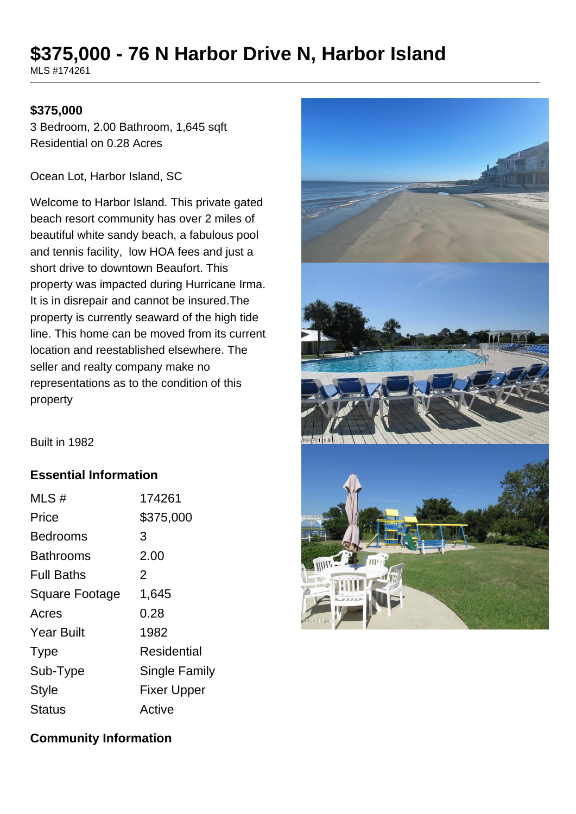# **\$375,000 - 76 N Harbor Drive N, Harbor Island**

MLS #174261

#### **\$375,000**

3 Bedroom, 2.00 Bathroom, 1,645 sqft Residential on 0.28 Acres

Ocean Lot, Harbor Island, SC

Welcome to Harbor Island. This private gated beach resort community has over 2 miles of beautiful white sandy beach, a fabulous pool and tennis facility, low HOA fees and just a short drive to downtown Beaufort. This property was impacted during Hurricane Irma. It is in disrepair and cannot be insured.The property is currently seaward of the high tide line. This home can be moved from its current location and reestablished elsewhere. The seller and realty company make no representations as to the condition of this property



Built in 1982

### **Essential Information**

| MLS#                  | 174261               |
|-----------------------|----------------------|
| Price                 | \$375,000            |
| Bedrooms              | 3                    |
| Bathrooms             | 2.00                 |
| <b>Full Baths</b>     | 2                    |
| <b>Square Footage</b> | 1,645                |
| Acres                 | 0.28                 |
| <b>Year Built</b>     | 1982                 |
| <b>Type</b>           | Residential          |
| Sub-Type              | <b>Single Family</b> |
| <b>Style</b>          | <b>Fixer Upper</b>   |
| Status                | Active               |

### **Community Information**